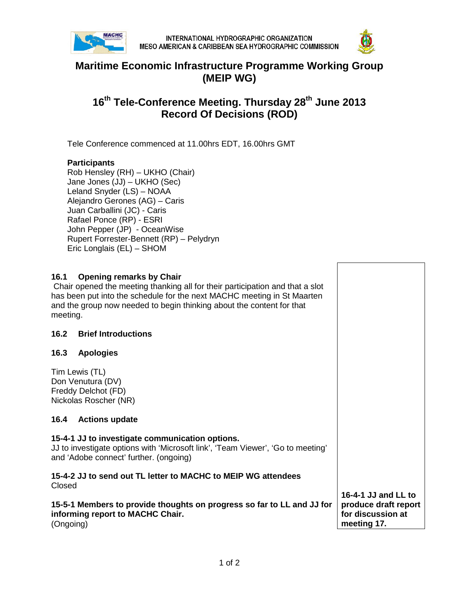



## **Maritime Economic Infrastructure Programme Working Group (MEIP WG)**

# **16th Tele-Conference Meeting. Thursday 28th June 2013 Record Of Decisions (ROD)**

Tele Conference commenced at 11.00hrs EDT, 16.00hrs GMT

#### **Participants**

Rob Hensley (RH) – UKHO (Chair) Jane Jones (JJ) – UKHO (Sec) Leland Snyder (LS) – NOAA Alejandro Gerones (AG) – Caris Juan Carballini (JC) - Caris Rafael Ponce (RP) - ESRI John Pepper (JP) - OceanWise Rupert Forrester-Bennett (RP) – Pelydryn Eric Longlais (EL) – SHOM

### **16.1 Opening remarks by Chair** Chair opened the meeting thanking all for their participation and that a slot has been put into the schedule for the next MACHC meeting in St Maarten and the group now needed to begin thinking about the content for that meeting. **16.2 Brief Introductions 16.3 Apologies** Tim Lewis (TL) Don Venutura (DV) Freddy Delchot (FD) Nickolas Roscher (NR) **16.4 Actions update 15-4-1 JJ to investigate communication options.** JJ to investigate options with 'Microsoft link', 'Team Viewer', 'Go to meeting' and 'Adobe connect' further. (ongoing) **15-4-2 JJ to send out TL letter to MACHC to MEIP WG attendees** Closed **15-5-1 Members to provide thoughts on progress so far to LL and JJ for informing report to MACHC Chair.**  (Ongoing) **16-4-1 JJ and LL to produce draft report for discussion at meeting 17.**